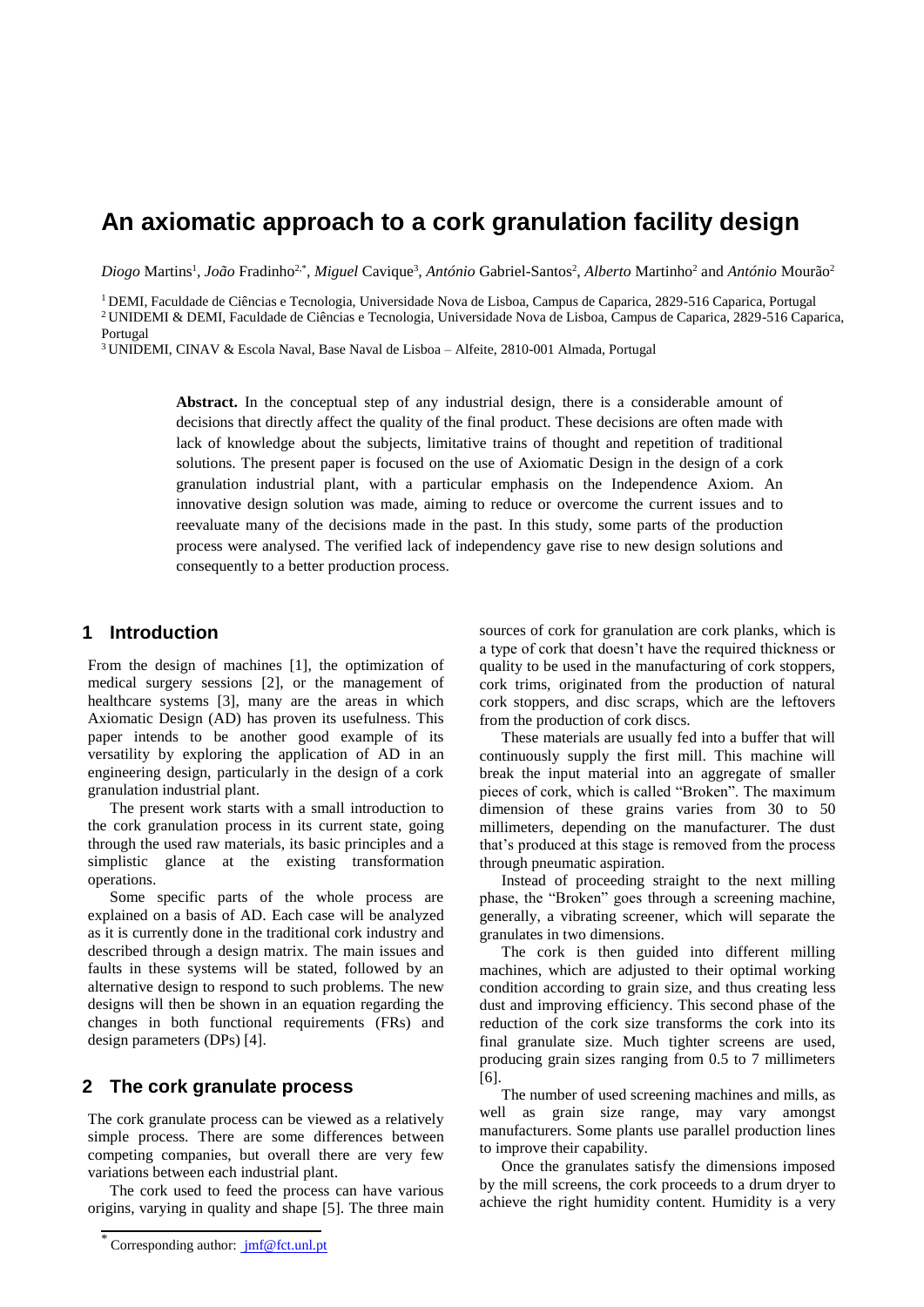# **An axiomatic approach to a cork granulation facility design**

Diogo Martins<sup>1</sup>, João Fradinho<sup>2,\*</sup>, Miguel Cavique<sup>3</sup>, António Gabriel-Santos<sup>2</sup>, Alberto Martinho<sup>2</sup> and António Mourão<sup>2</sup>

<sup>1</sup> DEMI, Faculdade de Ciências e Tecnologia, Universidade Nova de Lisboa, Campus de Caparica, 2829-516 Caparica, Portugal <sup>2</sup>UNIDEMI & DEMI, Faculdade de Ciências e Tecnologia, Universidade Nova de Lisboa, Campus de Caparica, 2829-516 Caparica,

Portugal

<sup>3</sup>UNIDEMI, CINAV & Escola Naval, Base Naval de Lisboa – Alfeite, 2810-001 Almada, Portugal

Abstract. In the conceptual step of any industrial design, there is a considerable amount of decisions that directly affect the quality of the final product. These decisions are often made with lack of knowledge about the subjects, limitative trains of thought and repetition of traditional solutions. The present paper is focused on the use of Axiomatic Design in the design of a cork granulation industrial plant, with a particular emphasis on the Independence Axiom. An innovative design solution was made, aiming to reduce or overcome the current issues and to reevaluate many of the decisions made in the past. In this study, some parts of the production process were analysed. The verified lack of independency gave rise to new design solutions and consequently to a better production process.

## **1 Introduction**

From the design of machines [1], the optimization of medical surgery sessions [2], or the management of healthcare systems [3], many are the areas in which Axiomatic Design (AD) has proven its usefulness. This paper intends to be another good example of its versatility by exploring the application of AD in an engineering design, particularly in the design of a cork granulation industrial plant.

The present work starts with a small introduction to the cork granulation process in its current state, going through the used raw materials, its basic principles and a simplistic glance at the existing transformation operations.

Some specific parts of the whole process are explained on a basis of AD. Each case will be analyzed as it is currently done in the traditional cork industry and described through a design matrix. The main issues and faults in these systems will be stated, followed by an alternative design to respond to such problems. The new designs will then be shown in an equation regarding the changes in both functional requirements (FRs) and design parameters (DPs) [4].

# **2 The cork granulate process**

The cork granulate process can be viewed as a relatively simple process. There are some differences between competing companies, but overall there are very few variations between each industrial plant.

The cork used to feed the process can have various origins, varying in quality and shape [5]. The three main

sources of cork for granulation are cork planks, which is a type of cork that doesn't have the required thickness or quality to be used in the manufacturing of cork stoppers, cork trims, originated from the production of natural cork stoppers, and disc scraps, which are the leftovers from the production of cork discs.

These materials are usually fed into a buffer that will continuously supply the first mill. This machine will break the input material into an aggregate of smaller pieces of cork, which is called "Broken". The maximum dimension of these grains varies from 30 to 50 millimeters, depending on the manufacturer. The dust that's produced at this stage is removed from the process through pneumatic aspiration.

Instead of proceeding straight to the next milling phase, the "Broken" goes through a screening machine, generally, a vibrating screener, which will separate the granulates in two dimensions.

The cork is then guided into different milling machines, which are adjusted to their optimal working condition according to grain size, and thus creating less dust and improving efficiency. This second phase of the reduction of the cork size transforms the cork into its final granulate size. Much tighter screens are used, producing grain sizes ranging from 0.5 to 7 millimeters [6].

The number of used screening machines and mills, as well as grain size range, may vary amongst manufacturers. Some plants use parallel production lines to improve their capability.

Once the granulates satisfy the dimensions imposed by the mill screens, the cork proceeds to a drum dryer to achieve the right humidity content. Humidity is a very

<sup>\*</sup> Corresponding author: **jmf@fct.unl.pt**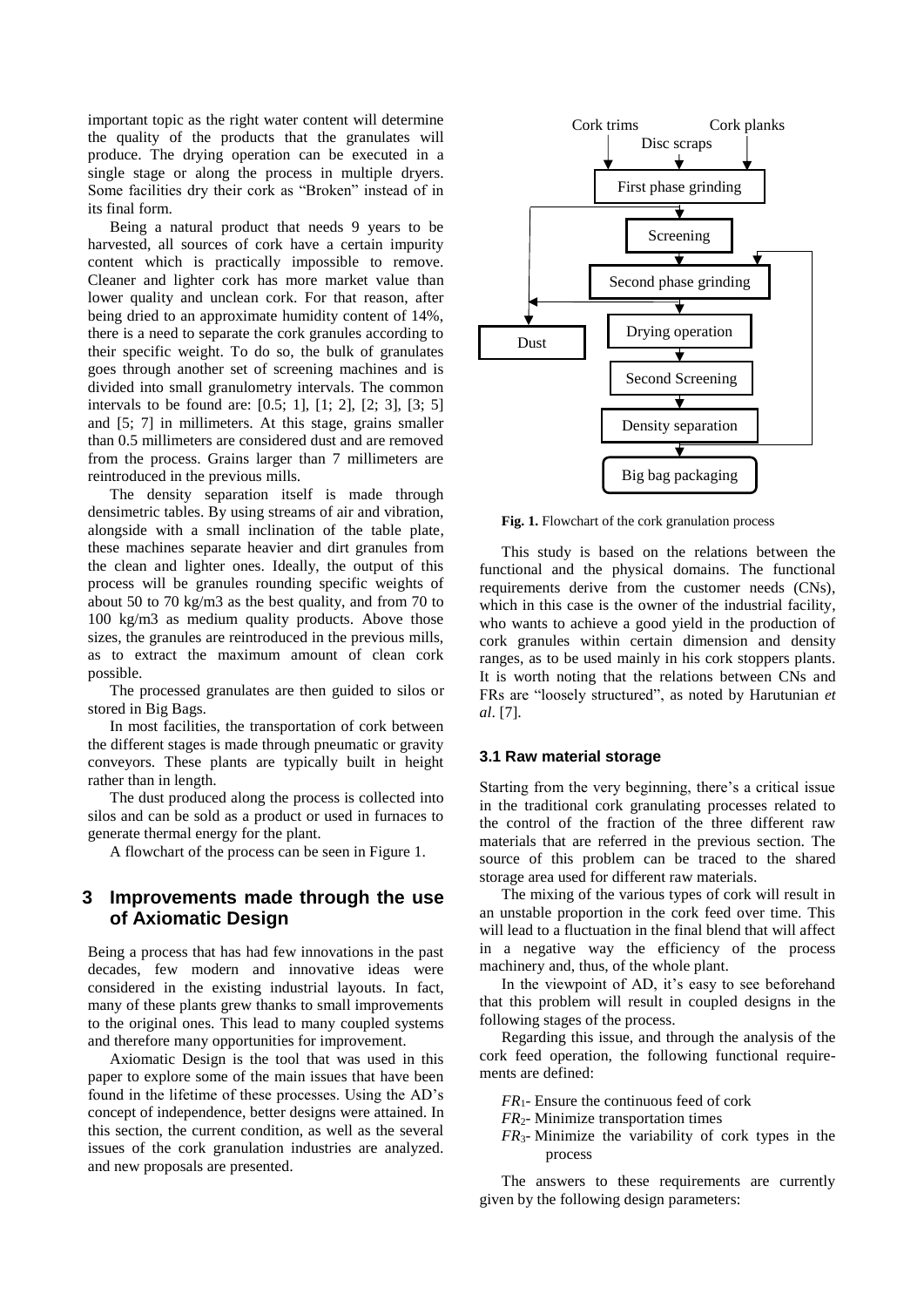important topic as the right water content will determine the quality of the products that the granulates will produce. The drying operation can be executed in a single stage or along the process in multiple dryers. Some facilities dry their cork as "Broken" instead of in its final form.

Being a natural product that needs 9 years to be harvested, all sources of cork have a certain impurity content which is practically impossible to remove. Cleaner and lighter cork has more market value than lower quality and unclean cork. For that reason, after being dried to an approximate humidity content of 14%, there is a need to separate the cork granules according to their specific weight. To do so, the bulk of granulates goes through another set of screening machines and is divided into small granulometry intervals. The common intervals to be found are: [0.5; 1], [1; 2], [2; 3], [3; 5] and [5; 7] in millimeters. At this stage, grains smaller than 0.5 millimeters are considered dust and are removed from the process. Grains larger than 7 millimeters are reintroduced in the previous mills.

The density separation itself is made through densimetric tables. By using streams of air and vibration, alongside with a small inclination of the table plate, these machines separate heavier and dirt granules from the clean and lighter ones. Ideally, the output of this process will be granules rounding specific weights of about 50 to 70 kg/m3 as the best quality, and from 70 to 100 kg/m3 as medium quality products. Above those sizes, the granules are reintroduced in the previous mills, as to extract the maximum amount of clean cork possible.

The processed granulates are then guided to silos or stored in Big Bags.

In most facilities, the transportation of cork between the different stages is made through pneumatic or gravity conveyors. These plants are typically built in height rather than in length.

The dust produced along the process is collected into silos and can be sold as a product or used in furnaces to generate thermal energy for the plant.

A flowchart of the process can be seen in Figure 1.

## **3 Improvements made through the use of Axiomatic Design**

Being a process that has had few innovations in the past decades, few modern and innovative ideas were considered in the existing industrial layouts. In fact, many of these plants grew thanks to small improvements to the original ones. This lead to many coupled systems and therefore many opportunities for improvement.

Axiomatic Design is the tool that was used in this paper to explore some of the main issues that have been found in the lifetime of these processes. Using the AD's concept of independence, better designs were attained. In this section, the current condition, as well as the several issues of the cork granulation industries are analyzed. and new proposals are presented.



**Fig. 1.** Flowchart of the cork granulation process

This study is based on the relations between the functional and the physical domains. The functional requirements derive from the customer needs (CNs), which in this case is the owner of the industrial facility. who wants to achieve a good yield in the production of cork granules within certain dimension and density ranges, as to be used mainly in his cork stoppers plants. It is worth noting that the relations between CNs and FRs are "loosely structured", as noted by Harutunian *et al*. [7].

### **3.1 Raw material storage**

Starting from the very beginning, there's a critical issue in the traditional cork granulating processes related to the control of the fraction of the three different raw materials that are referred in the previous section. The source of this problem can be traced to the shared storage area used for different raw materials.

The mixing of the various types of cork will result in an unstable proportion in the cork feed over time. This will lead to a fluctuation in the final blend that will affect in a negative way the efficiency of the process machinery and, thus, of the whole plant.

In the viewpoint of AD, it's easy to see beforehand that this problem will result in coupled designs in the following stages of the process.

Regarding this issue, and through the analysis of the cork feed operation, the following functional requirements are defined:

- *FR*1- Ensure the continuous feed of cork
- *FR*2- Minimize transportation times
- *FR*3- Minimize the variability of cork types in the process

The answers to these requirements are currently given by the following design parameters: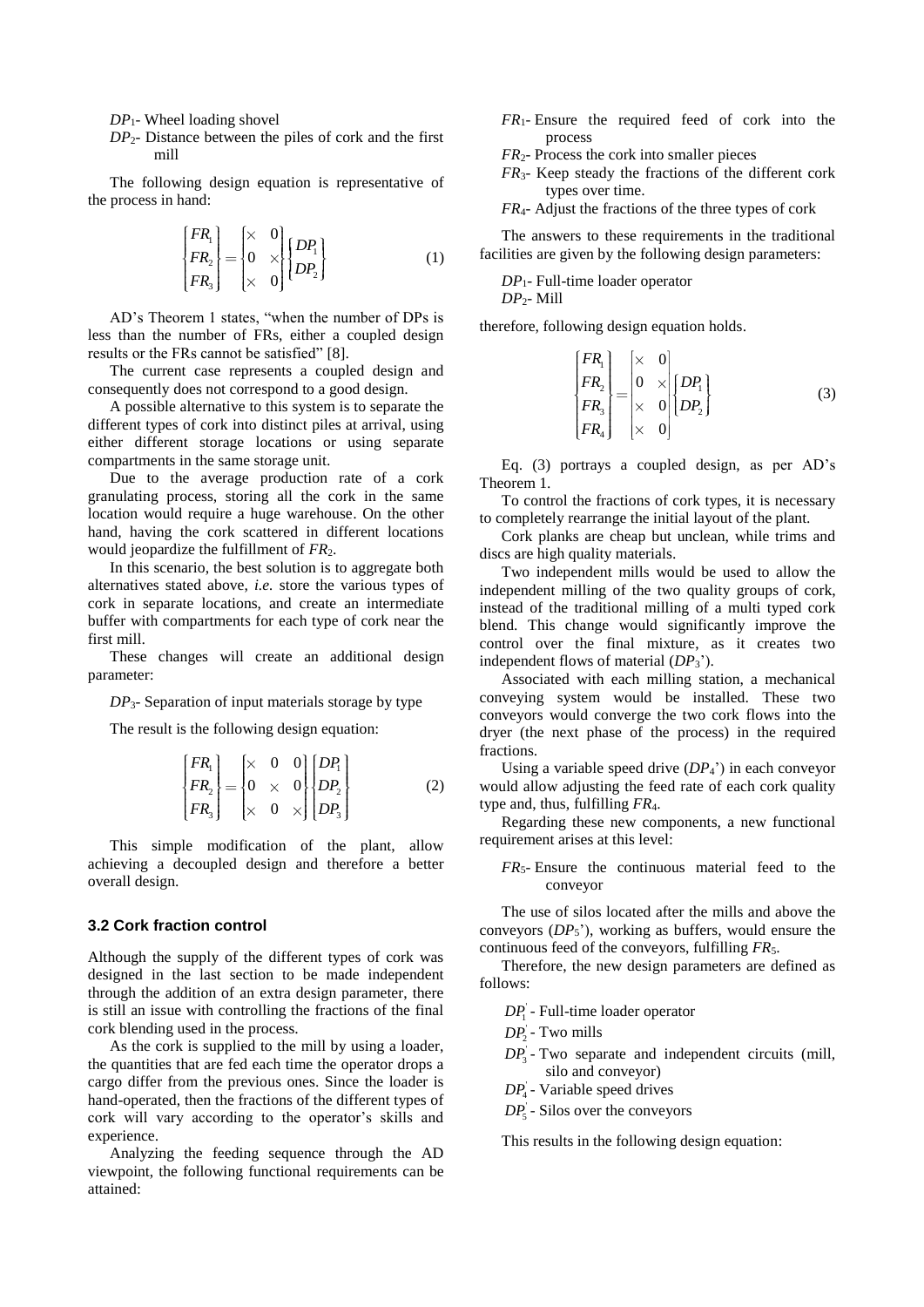*DP*1- Wheel loading shovel

*DP*2- Distance between the piles of cork and the first mill

The following design equation is representative of the process in hand:

$$
\begin{Bmatrix} FR_1 \\ FR_2 \\ FR_3 \end{Bmatrix} = \begin{Bmatrix} \times & 0 \\ 0 & \times \\ \times & 0 \end{Bmatrix} \begin{Bmatrix} DP_1 \\ DP_2 \end{Bmatrix}
$$
 (1)

AD's Theorem 1 states, "when the number of DPs is less than the number of FRs, either a coupled design results or the FRs cannot be satisfied" [8].

The current case represents a coupled design and consequently does not correspond to a good design.

A possible alternative to this system is to separate the different types of cork into distinct piles at arrival, using either different storage locations or using separate compartments in the same storage unit.

Due to the average production rate of a cork granulating process, storing all the cork in the same location would require a huge warehouse. On the other hand, having the cork scattered in different locations would jeopardize the fulfillment of *FR*2.

In this scenario, the best solution is to aggregate both alternatives stated above, *i.e.* store the various types of cork in separate locations, and create an intermediate buffer with compartments for each type of cork near the first mill.

These changes will create an additional design parameter:

#### *DP*3- Separation of input materials storage by type

The result is the following design equation: *FR DP*

$$
\begin{Bmatrix} FR_1 \ FR_2 \ FR_3 \end{Bmatrix} = \begin{Bmatrix} \times & 0 & 0 \\ 0 & \times & 0 \\ \times & 0 & \times \end{Bmatrix} \begin{Bmatrix} DP_1 \\ DP_2 \\ DP_3 \end{Bmatrix} \tag{2}
$$

This simple modification of the plant, allow achieving a decoupled design and therefore a better overall design.

## **3.2 Cork fraction control**

Although the supply of the different types of cork was designed in the last section to be made independent through the addition of an extra design parameter, there is still an issue with controlling the fractions of the final cork blending used in the process.

As the cork is supplied to the mill by using a loader, the quantities that are fed each time the operator drops a cargo differ from the previous ones. Since the loader is hand-operated, then the fractions of the different types of cork will vary according to the operator's skills and experience.

Analyzing the feeding sequence through the AD viewpoint, the following functional requirements can be attained:

- *FR*1- Ensure the required feed of cork into the process
- *FR*2- Process the cork into smaller pieces
- *FR*3- Keep steady the fractions of the different cork types over time.

*FR*4- Adjust the fractions of the three types of cork

The answers to these requirements in the traditional facilities are given by the following design parameters:

*DP*1- Full-time loader operator *DP*2- Mill

therefore, following design equation holds.

$$
\begin{cases}\nFR_1 \\
FR_2 \\
FR_3 \\
FR_4\n\end{cases} = \begin{bmatrix}\n\times & 0 \\
0 & \times \\
\times & 0 \\
\times & 0\n\end{bmatrix} \begin{bmatrix}\nDP_1 \\
DP_2\n\end{bmatrix}
$$
\n(3)

Eq. (3) portrays a coupled design, as per AD's Theorem 1.

To control the fractions of cork types, it is necessary to completely rearrange the initial layout of the plant.

Cork planks are cheap but unclean, while trims and discs are high quality materials.

Two independent mills would be used to allow the independent milling of the two quality groups of cork, instead of the traditional milling of a multi typed cork blend. This change would significantly improve the control over the final mixture, as it creates two independent flows of material (*DP*3').

Associated with each milling station, a mechanical conveying system would be installed. These two conveyors would converge the two cork flows into the dryer (the next phase of the process) in the required fractions.

Using a variable speed drive (*DP*4') in each conveyor would allow adjusting the feed rate of each cork quality type and, thus, fulfilling *FR*4.

Regarding these new components, a new functional requirement arises at this level:

*FR*5- Ensure the continuous material feed to the conveyor

The use of silos located after the mills and above the conveyors (*DP*5'), working as buffers, would ensure the continuous feed of the conveyors, fulfilling *FR*5.

Therefore, the new design parameters are defined as follows:

 $DP<sub>1</sub>$  - Full-time loader operator

 $DP<sub>2</sub>$  - Two mills

- $DP_3$  Two separate and independent circuits (mill, silo and conveyor)
- $DP<sub>4</sub>$  Variable speed drives
- $DP<sub>5</sub>$  Silos over the conveyors

This results in the following design equation: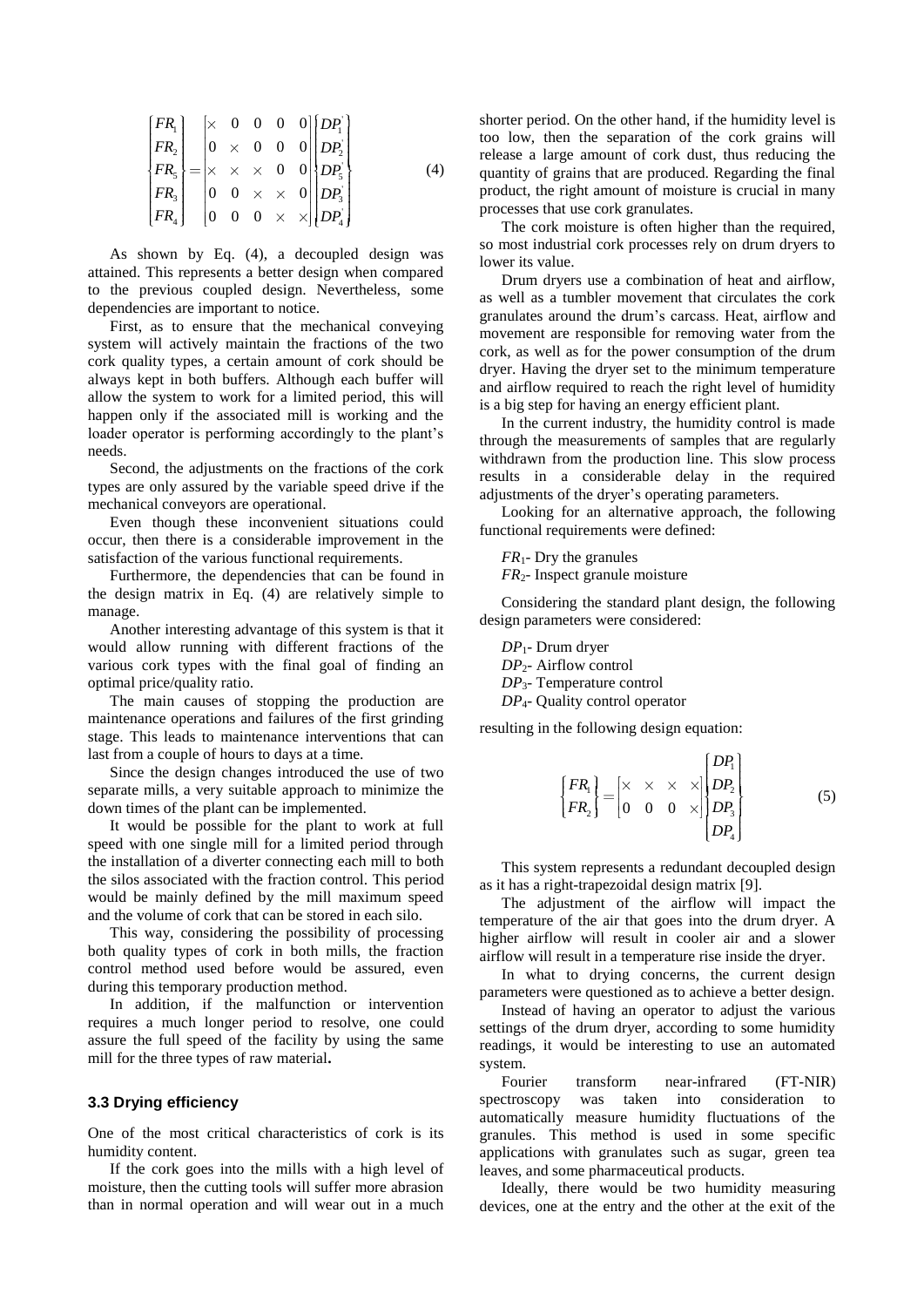$$
\begin{bmatrix} FR_1 \\ FR_2 \\ FR_3 \\ FR_4 \\ FR_5 \\ FR_4 \end{bmatrix} = \begin{bmatrix} \times & 0 & 0 & 0 & 0 \\ \times & 0 & 0 & 0 & 0 \\ \times & \times & 0 & 0 & 0 \\ \times & \times & \times & 0 & 0 \\ 0 & 0 & \times & \times & 0 & 0 \\ 0 & 0 & 0 & \times & \times & 0 \end{bmatrix} \begin{bmatrix} DP_1^2 \\ DP_2^2 \\ DP_3^2 \\ DP_4^2 \end{bmatrix}
$$
 (4)

As shown by Eq. (4), a decoupled design was attained. This represents a better design when compared to the previous coupled design. Nevertheless, some dependencies are important to notice.

First, as to ensure that the mechanical conveying system will actively maintain the fractions of the two cork quality types, a certain amount of cork should be always kept in both buffers. Although each buffer will allow the system to work for a limited period, this will happen only if the associated mill is working and the loader operator is performing accordingly to the plant's needs.

Second, the adjustments on the fractions of the cork types are only assured by the variable speed drive if the mechanical conveyors are operational.

Even though these inconvenient situations could occur, then there is a considerable improvement in the satisfaction of the various functional requirements.

Furthermore, the dependencies that can be found in the design matrix in Eq. (4) are relatively simple to manage.

Another interesting advantage of this system is that it would allow running with different fractions of the various cork types with the final goal of finding an optimal price/quality ratio.

The main causes of stopping the production are maintenance operations and failures of the first grinding stage. This leads to maintenance interventions that can last from a couple of hours to days at a time.

Since the design changes introduced the use of two separate mills, a very suitable approach to minimize the down times of the plant can be implemented.

It would be possible for the plant to work at full speed with one single mill for a limited period through the installation of a diverter connecting each mill to both the silos associated with the fraction control. This period would be mainly defined by the mill maximum speed and the volume of cork that can be stored in each silo.

This way, considering the possibility of processing both quality types of cork in both mills, the fraction control method used before would be assured, even during this temporary production method.

In addition, if the malfunction or intervention requires a much longer period to resolve, one could assure the full speed of the facility by using the same mill for the three types of raw material**.**

#### **3.3 Drying efficiency**

One of the most critical characteristics of cork is its humidity content.

If the cork goes into the mills with a high level of moisture, then the cutting tools will suffer more abrasion than in normal operation and will wear out in a much

shorter period. On the other hand, if the humidity level is too low, then the separation of the cork grains will release a large amount of cork dust, thus reducing the quantity of grains that are produced. Regarding the final product, the right amount of moisture is crucial in many processes that use cork granulates.

The cork moisture is often higher than the required, so most industrial cork processes rely on drum dryers to lower its value.

Drum dryers use a combination of heat and airflow, as well as a tumbler movement that circulates the cork granulates around the drum's carcass. Heat, airflow and movement are responsible for removing water from the cork, as well as for the power consumption of the drum dryer. Having the dryer set to the minimum temperature and airflow required to reach the right level of humidity is a big step for having an energy efficient plant.

In the current industry, the humidity control is made through the measurements of samples that are regularly withdrawn from the production line. This slow process results in a considerable delay in the required adjustments of the dryer's operating parameters.

Looking for an alternative approach, the following functional requirements were defined:

*FR*1- Dry the granules

*FR*2- Inspect granule moisture

Considering the standard plant design, the following design parameters were considered:

*DP*1- Drum dryer *DP*2- Airflow control *DP*3- Temperature control *DP*4- Quality control operator

resulting in the following design equation:

$$
\begin{Bmatrix} FR_1 \\ FR_2 \end{Bmatrix} = \begin{bmatrix} \times & \times & \times & \times \\ 0 & 0 & 0 & \times \end{bmatrix} \begin{bmatrix} DP_1 \\ DP_2 \\ DP_3 \\ DP_4 \end{bmatrix}
$$
 (5)

This system represents a redundant decoupled design as it has a right-trapezoidal design matrix [9].

The adjustment of the airflow will impact the temperature of the air that goes into the drum dryer. A higher airflow will result in cooler air and a slower airflow will result in a temperature rise inside the dryer.

In what to drying concerns, the current design parameters were questioned as to achieve a better design.

Instead of having an operator to adjust the various settings of the drum dryer, according to some humidity readings, it would be interesting to use an automated system.

Fourier transform near-infrared (FT-NIR) spectroscopy was taken into consideration to automatically measure humidity fluctuations of the granules. This method is used in some specific applications with granulates such as sugar, green tea leaves, and some pharmaceutical products.

Ideally, there would be two humidity measuring devices, one at the entry and the other at the exit of the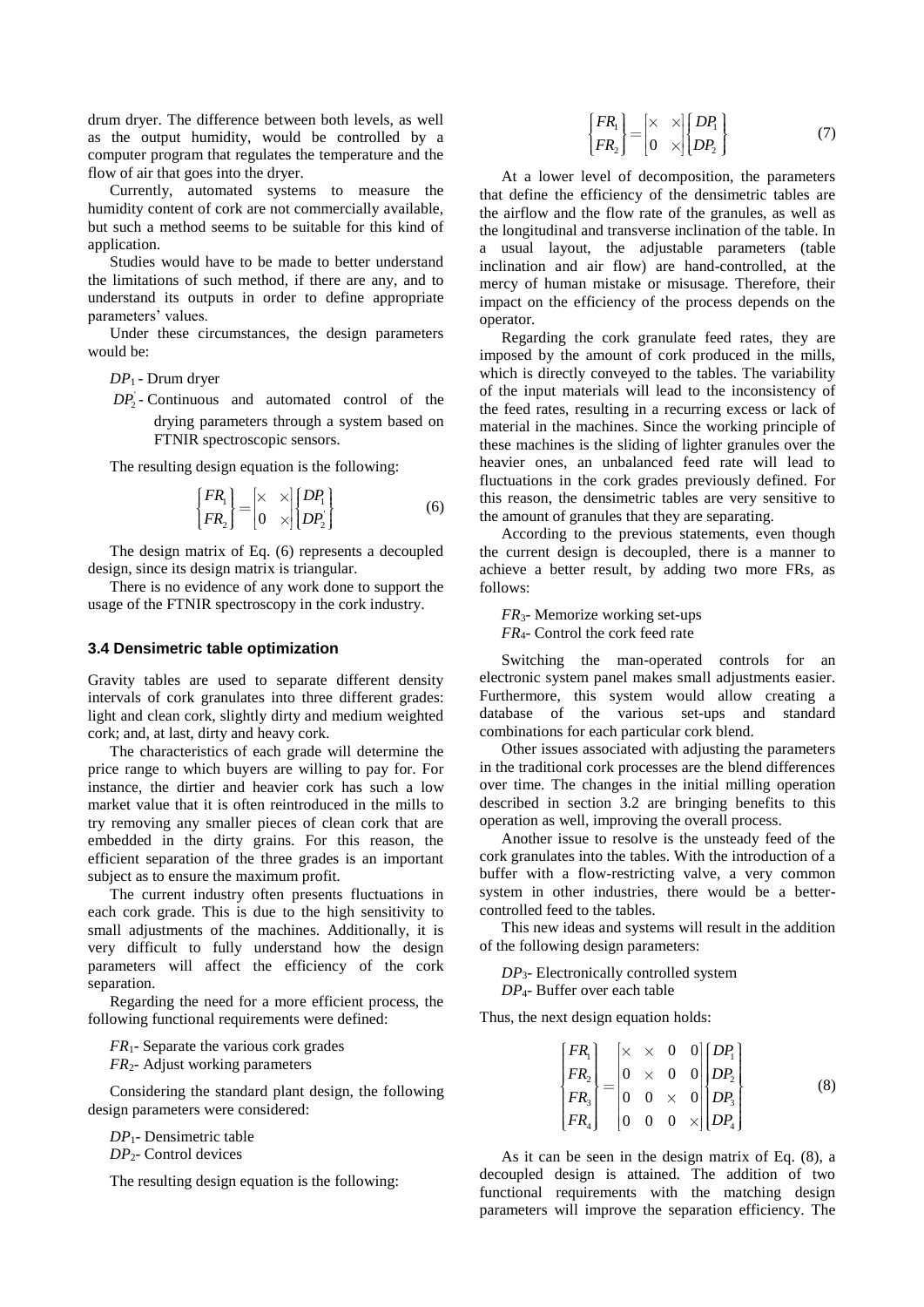drum dryer. The difference between both levels, as well as the output humidity, would be controlled by a computer program that regulates the temperature and the flow of air that goes into the dryer.

Currently, automated systems to measure the humidity content of cork are not commercially available, but such a method seems to be suitable for this kind of application.

Studies would have to be made to better understand the limitations of such method, if there are any, and to understand its outputs in order to define appropriate parameters' values.

Under these circumstances, the design parameters would be:

### *DP*<sup>1</sup> - Drum dryer

 $DP<sub>2</sub>$  - Continuous and automated control of the drying parameters through a system based on

FTNIR spectroscopic sensors.

The resulting design equation is the following:

$$
\begin{Bmatrix} FR_1 \ FR_2 \end{Bmatrix} = \begin{bmatrix} \times & \times \\ 0 & \times \end{bmatrix} \begin{Bmatrix} DP_1 \ DP_2 \end{Bmatrix} \tag{6}
$$

The design matrix of Eq. (6) represents a decoupled design, since its design matrix is triangular.

There is no evidence of any work done to support the usage of the FTNIR spectroscopy in the cork industry.

#### **3.4 Densimetric table optimization**

Gravity tables are used to separate different density intervals of cork granulates into three different grades: light and clean cork, slightly dirty and medium weighted cork; and, at last, dirty and heavy cork.

The characteristics of each grade will determine the price range to which buyers are willing to pay for. For instance, the dirtier and heavier cork has such a low market value that it is often reintroduced in the mills to try removing any smaller pieces of clean cork that are embedded in the dirty grains. For this reason, the efficient separation of the three grades is an important subject as to ensure the maximum profit.

The current industry often presents fluctuations in each cork grade. This is due to the high sensitivity to small adjustments of the machines. Additionally, it is very difficult to fully understand how the design parameters will affect the efficiency of the cork separation.

Regarding the need for a more efficient process, the following functional requirements were defined:

*FR*1- Separate the various cork grades *FR*2- Adjust working parameters

Considering the standard plant design, the following design parameters were considered:

*DP*1- Densimetric table *DP*2- Control devices

The resulting design equation is the following:

$$
\begin{Bmatrix} FR_1 \\ FR_2 \end{Bmatrix} = \begin{bmatrix} \times & \times \\ 0 & \times \end{bmatrix} \begin{Bmatrix} DP_1 \\ DP_2 \end{Bmatrix} \tag{7}
$$

At a lower level of decomposition, the parameters that define the efficiency of the densimetric tables are the airflow and the flow rate of the granules, as well as the longitudinal and transverse inclination of the table. In a usual layout, the adjustable parameters (table inclination and air flow) are hand-controlled, at the mercy of human mistake or misusage. Therefore, their impact on the efficiency of the process depends on the operator.

Regarding the cork granulate feed rates, they are imposed by the amount of cork produced in the mills, which is directly conveyed to the tables. The variability of the input materials will lead to the inconsistency of the feed rates, resulting in a recurring excess or lack of material in the machines. Since the working principle of these machines is the sliding of lighter granules over the heavier ones, an unbalanced feed rate will lead to fluctuations in the cork grades previously defined. For this reason, the densimetric tables are very sensitive to the amount of granules that they are separating.

According to the previous statements, even though the current design is decoupled, there is a manner to achieve a better result, by adding two more FRs, as follows:

*FR*3- Memorize working set-ups *FR*4- Control the cork feed rate

Switching the man-operated controls for an electronic system panel makes small adjustments easier. Furthermore, this system would allow creating a database of the various set-ups and standard combinations for each particular cork blend.

Other issues associated with adjusting the parameters in the traditional cork processes are the blend differences over time. The changes in the initial milling operation described in section 3.2 are bringing benefits to this operation as well, improving the overall process.

Another issue to resolve is the unsteady feed of the cork granulates into the tables. With the introduction of a buffer with a flow-restricting valve, a very common system in other industries, there would be a bettercontrolled feed to the tables.

This new ideas and systems will result in the addition of the following design parameters:

*DP*3- Electronically controlled system *DP*4- Buffer over each table

Thus, the next design equation holds:

$$
\begin{bmatrix} FR_1 \ FR_2 \ FR_3 \ CR_4 \end{bmatrix} = \begin{bmatrix} \times & \times & 0 & 0 \\ 0 & \times & 0 & 0 \\ 0 & 0 & \times & 0 \\ FR_4 \end{bmatrix} \begin{bmatrix} DP_1 \ DP_2 \ DP_3 \ DP_4 \end{bmatrix}
$$
 (8)

As it can be seen in the design matrix of Eq. (8), a decoupled design is attained. The addition of two functional requirements with the matching design parameters will improve the separation efficiency. The